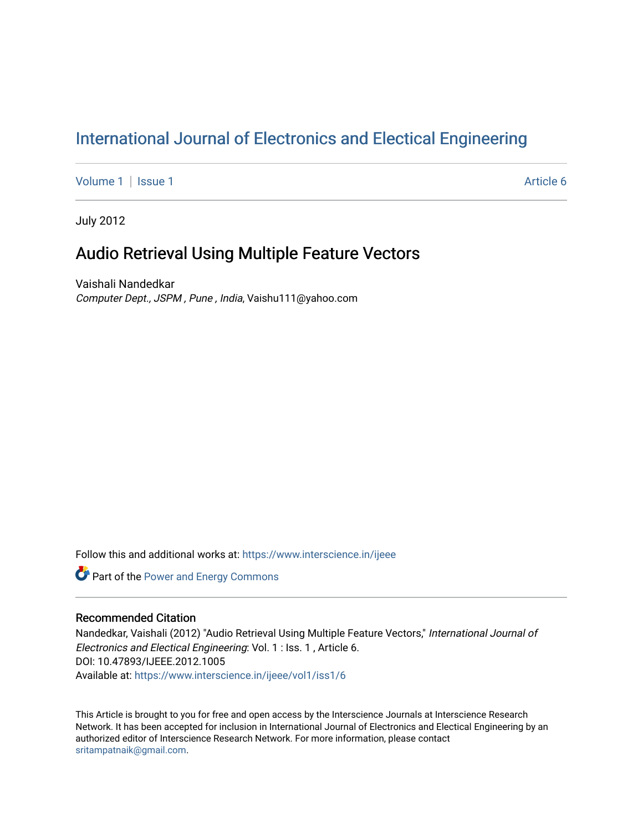# [International Journal of Electronics and Electical Engineering](https://www.interscience.in/ijeee)

[Volume 1](https://www.interscience.in/ijeee/vol1) | [Issue 1](https://www.interscience.in/ijeee/vol1/iss1) Article 6

July 2012

# Audio Retrieval Using Multiple Feature Vectors

Vaishali Nandedkar Computer Dept., JSPM , Pune , India, Vaishu111@yahoo.com

Follow this and additional works at: [https://www.interscience.in/ijeee](https://www.interscience.in/ijeee?utm_source=www.interscience.in%2Fijeee%2Fvol1%2Fiss1%2F6&utm_medium=PDF&utm_campaign=PDFCoverPages)

**Part of the Power and Energy Commons** 

# Recommended Citation

Nandedkar, Vaishali (2012) "Audio Retrieval Using Multiple Feature Vectors," International Journal of Electronics and Electical Engineering: Vol. 1 : Iss. 1 , Article 6. DOI: 10.47893/IJEEE.2012.1005 Available at: [https://www.interscience.in/ijeee/vol1/iss1/6](https://www.interscience.in/ijeee/vol1/iss1/6?utm_source=www.interscience.in%2Fijeee%2Fvol1%2Fiss1%2F6&utm_medium=PDF&utm_campaign=PDFCoverPages)

This Article is brought to you for free and open access by the Interscience Journals at Interscience Research Network. It has been accepted for inclusion in International Journal of Electronics and Electical Engineering by an authorized editor of Interscience Research Network. For more information, please contact [sritampatnaik@gmail.com](mailto:sritampatnaik@gmail.com).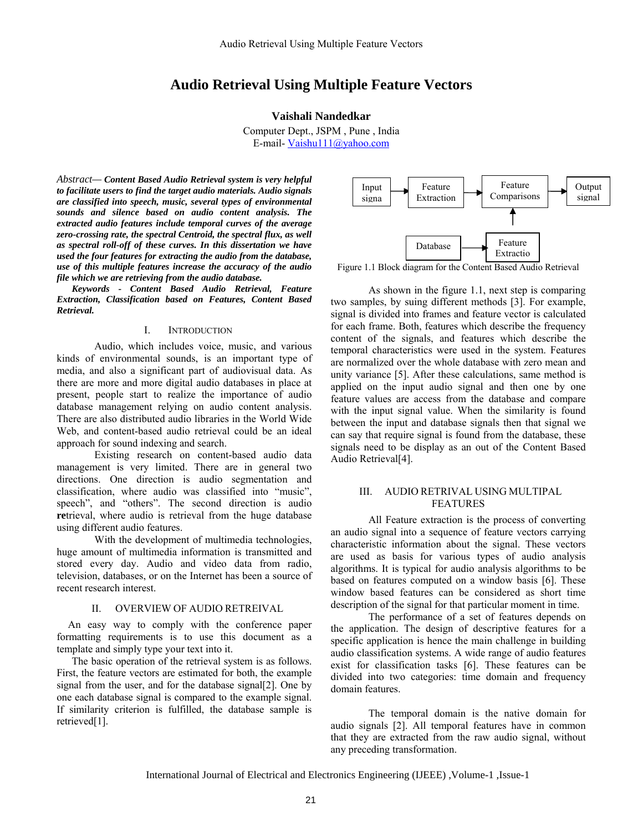# **Audio Retrieval Using Multiple Feature Vectors**

# **Vaishali Nandedkar**

Computer Dept., JSPM , Pune , India E-mail- Vaishu111@yahoo.com

*Abstract— Content Based Audio Retrieval system is very helpful to facilitate users to find the target audio materials. Audio signals are classified into speech, music, several types of environmental sounds and silence based on audio content analysis. The extracted audio features include temporal curves of the average zero-crossing rate, the spectral Centroid, the spectral flux, as well as spectral roll-off of these curves. In this dissertation we have used the four features for extracting the audio from the database, use of this multiple features increase the accuracy of the audio file which we are retrieving from the audio database.* 

*Keywords - Content Based Audio Retrieval, Feature Extraction, Classification based on Features, Content Based Retrieval.* 

#### I. INTRODUCTION

Audio, which includes voice, music, and various kinds of environmental sounds, is an important type of media, and also a significant part of audiovisual data. As there are more and more digital audio databases in place at present, people start to realize the importance of audio database management relying on audio content analysis. There are also distributed audio libraries in the World Wide Web, and content-based audio retrieval could be an ideal approach for sound indexing and search.

Existing research on content-based audio data management is very limited. There are in general two directions. One direction is audio segmentation and classification, where audio was classified into "music", speech", and "others". The second direction is audio **re**trieval, where audio is retrieval from the huge database using different audio features.

With the development of multimedia technologies, huge amount of multimedia information is transmitted and stored every day. Audio and video data from radio, television, databases, or on the Internet has been a source of recent research interest.

#### II. OVERVIEW OF AUDIO RETREIVAL

An easy way to comply with the conference paper formatting requirements is to use this document as a template and simply type your text into it.

The basic operation of the retrieval system is as follows. First, the feature vectors are estimated for both, the example signal from the user, and for the database signal[2]. One by one each database signal is compared to the example signal. If similarity criterion is fulfilled, the database sample is retrieved[1].



Figure 1.1 Block diagram for the Content Based Audio Retrieval

As shown in the figure 1.1, next step is comparing two samples, by suing different methods [3]. For example, signal is divided into frames and feature vector is calculated for each frame. Both, features which describe the frequency content of the signals, and features which describe the temporal characteristics were used in the system. Features are normalized over the whole database with zero mean and unity variance [5]. After these calculations, same method is applied on the input audio signal and then one by one feature values are access from the database and compare with the input signal value. When the similarity is found between the input and database signals then that signal we can say that require signal is found from the database, these signals need to be display as an out of the Content Based Audio Retrieval[4].

# III. AUDIO RETRIVAL USING MULTIPAL FEATURES

All Feature extraction is the process of converting an audio signal into a sequence of feature vectors carrying characteristic information about the signal. These vectors are used as basis for various types of audio analysis algorithms. It is typical for audio analysis algorithms to be based on features computed on a window basis [6]. These window based features can be considered as short time description of the signal for that particular moment in time.

The performance of a set of features depends on the application. The design of descriptive features for a specific application is hence the main challenge in building audio classification systems. A wide range of audio features exist for classification tasks [6]. These features can be divided into two categories: time domain and frequency domain features.

 The temporal domain is the native domain for audio signals [2]. All temporal features have in common that they are extracted from the raw audio signal, without any preceding transformation.

International Journal of Electrical and Electronics Engineering (IJEEE) ,Volume-1 ,Issue-1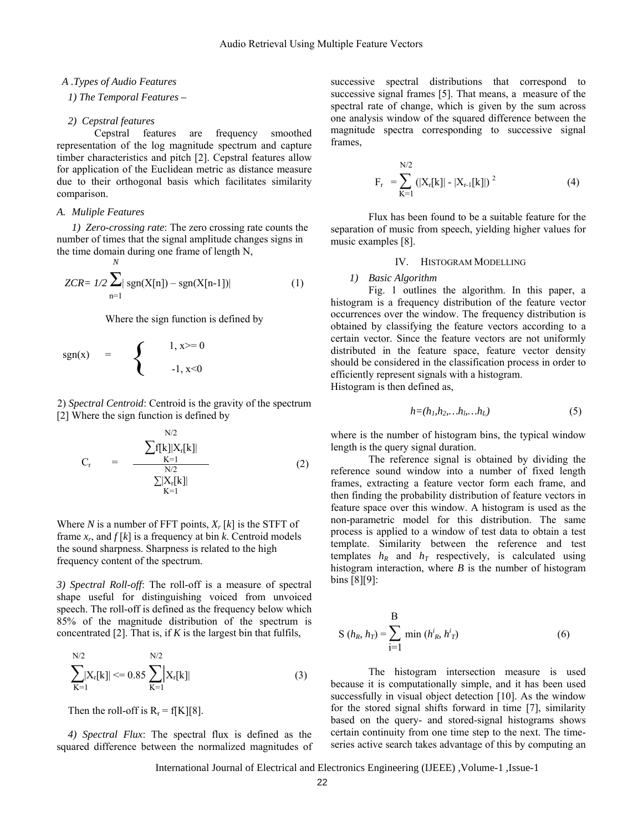#### *A .Types of Audio Features*

## *1) The Temporal Features –*

#### *2) Cepstral features*

 Cepstral features are frequency smoothed representation of the log magnitude spectrum and capture timber characteristics and pitch [2]. Cepstral features allow for application of the Euclidean metric as distance measure due to their orthogonal basis which facilitates similarity comparison.

#### *A. Muliple Features*

*1) Zero-crossing rate*: The zero crossing rate counts the number of times that the signal amplitude changes signs in the time domain during one frame of length N, *N* 

$$
ZCR = 1/2 \sum_{n=1}^{\infty} |sgn(X[n]) - sgn(X[n-1])|
$$
 (1)

Where the sign function is defined by

$$
sgn(x) = \begin{cases} 1, x>=0 \\ -1, x<0 \end{cases}
$$

2) *Spectral Centroid*: Centroid is the gravity of the spectrum [2] Where the sign function is defined by

 $\mathbf{X}^T$ 

$$
C_{r} = \frac{\sum f[k] |X_{r}[k]|}{\sum_{K=1}^{N/2} |X_{r}[k]|}
$$
(2)  

$$
\sum |X_{r}[k]|
$$

Where *N* is a number of FFT points,  $X_r[k]$  is the STFT of frame  $x_r$ , and  $f[k]$  is a frequency at bin *k*. Centroid models the sound sharpness. Sharpness is related to the high frequency content of the spectrum.

*3) Spectral Roll-off*: The roll-off is a measure of spectral shape useful for distinguishing voiced from unvoiced speech. The roll-off is defined as the frequency below which 85% of the magnitude distribution of the spectrum is concentrated [2]. That is, if *K* is the largest bin that fulfils,

$$
\sum_{K=1}^{N/2} |X_r[k]| \leq 0.85 \sum_{K=1}^{N/2} |X_r[k]| \tag{3}
$$

Then the roll-off is  $R_r = f[K][8]$ .

*4) Spectral Flux*: The spectral flux is defined as the squared difference between the normalized magnitudes of successive spectral distributions that correspond to successive signal frames [5]. That means, a measure of the spectral rate of change, which is given by the sum across one analysis window of the squared difference between the magnitude spectra corresponding to successive signal frames,

$$
F_r = \sum_{K=1}^{N/2} (|X_r[k]| - |X_{r-1}[k]|)^2
$$
 (4)

Flux has been found to be a suitable feature for the separation of music from speech, yielding higher values for music examples [8].

# IV. HISTOGRAM MODELLING

#### *1) Basic Algorithm*

Fig. 1 outlines the algorithm. In this paper, a histogram is a frequency distribution of the feature vector occurrences over the window. The frequency distribution is obtained by classifying the feature vectors according to a certain vector. Since the feature vectors are not uniformly distributed in the feature space, feature vector density should be considered in the classification process in order to efficiently represent signals with a histogram. Histogram is then defined as,

$$
h = (h_1, h_2, \dots, h_l, \dots, h_L) \tag{5}
$$

where is the number of histogram bins, the typical window length is the query signal duration.

The reference signal is obtained by dividing the reference sound window into a number of fixed length frames, extracting a feature vector form each frame, and then finding the probability distribution of feature vectors in feature space over this window. A histogram is used as the non-parametric model for this distribution. The same process is applied to a window of test data to obtain a test template. Similarity between the reference and test templates  $h_R$  and  $h_T$  respectively, is calculated using histogram interaction, where *B* is the number of histogram bins [8][9]:

$$
S(h_R, h_T) = \sum_{i=1}^{B} \min (h_R^i, h_T^i)
$$
 (6)

The histogram intersection measure is used because it is computationally simple, and it has been used successfully in visual object detection [10]. As the window for the stored signal shifts forward in time [7], similarity based on the query- and stored-signal histograms shows certain continuity from one time step to the next. The timeseries active search takes advantage of this by computing an

International Journal of Electrical and Electronics Engineering (IJEEE) ,Volume-1 ,Issue-1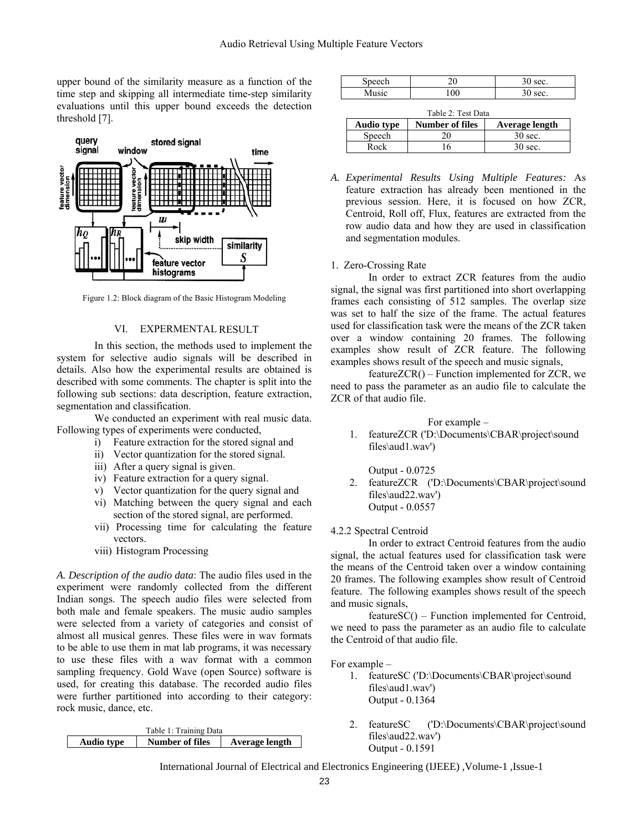upper bound of the similarity measure as a function of the time step and skipping all intermediate time-step similarity evaluations until this upper bound exceeds the detection threshold [7].



Figure 1.2: Block diagram of the Basic Histogram Modeling

# VI. EXPERMENTAL RESULT

In this section, the methods used to implement the system for selective audio signals will be described in details. Also how the experimental results are obtained is described with some comments. The chapter is split into the following sub sections: data description, feature extraction, segmentation and classification.

We conducted an experiment with real music data. Following types of experiments were conducted,

- i) Feature extraction for the stored signal and
- ii) Vector quantization for the stored signal.
- iii) After a query signal is given.
- iv) Feature extraction for a query signal.
- v) Vector quantization for the query signal and
- vi) Matching between the query signal and each section of the stored signal, are performed.
- vii) Processing time for calculating the feature vectors.
- viii) Histogram Processing

*A. Description of the audio data*: The audio files used in the experiment were randomly collected from the different Indian songs. The speech audio files were selected from both male and female speakers. The music audio samples were selected from a variety of categories and consist of almost all musical genres. These files were in wav formats to be able to use them in mat lab programs, it was necessary to use these files with a wav format with a common sampling frequency. Gold Wave (open Source) software is used, for creating this database. The recorded audio files were further partitioned into according to their category: rock music, dance, etc.

| Table 1: Training Data |                 |                |  |
|------------------------|-----------------|----------------|--|
| <b>Audio type</b>      | Number of files | Average length |  |

| $\sim$         | ∼  | ັ. |
|----------------|----|----|
|                | И  | ັ. |
| <b>TATADIC</b> | יט | ٠  |

Table 2: Test Data

| raone 2. rest Data |                        |                  |  |  |
|--------------------|------------------------|------------------|--|--|
| <b>Audio type</b>  | <b>Number of files</b> | Average length   |  |  |
| Speech             | 20                     | $30 \text{ sec}$ |  |  |
| Rock               |                        | $30 \text{ sec}$ |  |  |

*A. Experimental Results Using Multiple Features:* As feature extraction has already been mentioned in the previous session. Here, it is focused on how ZCR, Centroid, Roll off, Flux, features are extracted from the row audio data and how they are used in classification and segmentation modules.

#### 1. Zero-Crossing Rate

In order to extract ZCR features from the audio signal, the signal was first partitioned into short overlapping frames each consisting of 512 samples. The overlap size was set to half the size of the frame. The actual features used for classification task were the means of the ZCR taken over a window containing 20 frames. The following examples show result of ZCR feature. The following examples shows result of the speech and music signals,

featureZCR() – Function implemented for ZCR, we need to pass the parameter as an audio file to calculate the ZCR of that audio file.

# For example –

1. featureZCR ('D:\Documents\CBAR\project\sound files\aud1.wav')

Output - 0.0725

2. featureZCR ('D:\Documents\CBAR\project\sound files\aud22.wav') Output - 0.0557

### 4.2.2 Spectral Centroid

In order to extract Centroid features from the audio signal, the actual features used for classification task were the means of the Centroid taken over a window containing 20 frames. The following examples show result of Centroid feature. The following examples shows result of the speech and music signals,

featureSC() – Function implemented for Centroid, we need to pass the parameter as an audio file to calculate the Centroid of that audio file.

For example –

- 1. featureSC ('D:\Documents\CBAR\project\sound files\aud1.wav') Output - 0.1364
- 2. featureSC ('D:\Documents\CBAR\project\sound files\aud22.wav') Output - 0.1591

International Journal of Electrical and Electronics Engineering (IJEEE) ,Volume-1 ,Issue-1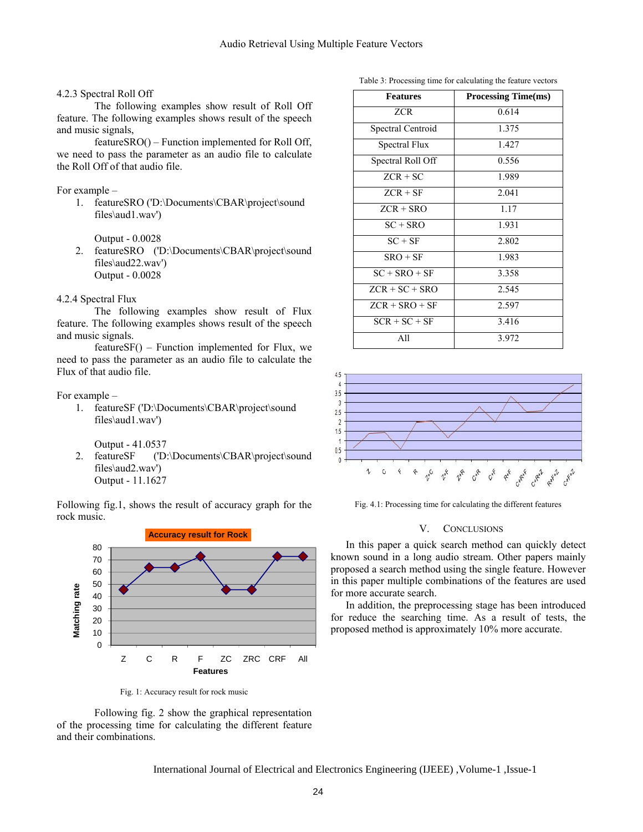#### 4.2.3 Spectral Roll Off

The following examples show result of Roll Off feature. The following examples shows result of the speech and music signals,

featureSRO() – Function implemented for Roll Off, we need to pass the parameter as an audio file to calculate the Roll Off of that audio file.

# For example –

1. featureSRO ('D:\Documents\CBAR\project\sound files\aud1.wav')

Output - 0.0028

2. featureSRO ('D:\Documents\CBAR\project\sound files\aud22.wav') Output - 0.0028

#### 4.2.4 Spectral Flux

The following examples show result of Flux feature. The following examples shows result of the speech and music signals.

featureSF() – Function implemented for Flux, we need to pass the parameter as an audio file to calculate the Flux of that audio file.

#### For example –

1. featureSF ('D:\Documents\CBAR\project\sound files\aud1.wav')

Output - 41.0537

2. featureSF ('D:\Documents\CBAR\project\sound files\aud2.wav') Output - 11.1627

Following fig.1, shows the result of accuracy graph for the rock music.



Fig. 1: Accuracy result for rock music

Following fig. 2 show the graphical representation of the processing time for calculating the different feature and their combinations.

International Journal of Electrical and Electronics Engineering (IJEEE) ,Volume-1 ,Issue-1

Table 3: Processing time for calculating the feature vectors

| <b>Features</b>   | <b>Processing Time(ms)</b> |
|-------------------|----------------------------|
| ZCR               | 0.614                      |
| Spectral Centroid | 1.375                      |
| Spectral Flux     | 1.427                      |
| Spectral Roll Off | 0.556                      |
| $ZCR + SC$        | 1.989                      |
| $ZCR + SF$        | 2.041                      |
| $ZCR + SRO$       | 1.17                       |
| $SC + SRO$        | 1.931                      |
| $SC + SF$         | 2.802                      |
| $SRO + SF$        | 1.983                      |
| $SC + SRO + SF$   | 3.358                      |
| $ZCR + SC + SRO$  | 2.545                      |
| $ZCR + SRO + SF$  | 2.597                      |
| $SCR + SC + SF$   | 3.416                      |
| All               | 3.972                      |



Fig. 4.1: Processing time for calculating the different features

#### V. CONCLUSIONS

In this paper a quick search method can quickly detect known sound in a long audio stream. Other papers mainly proposed a search method using the single feature. However in this paper multiple combinations of the features are used for more accurate search.

In addition, the preprocessing stage has been introduced for reduce the searching time. As a result of tests, the proposed method is approximately 10% more accurate.